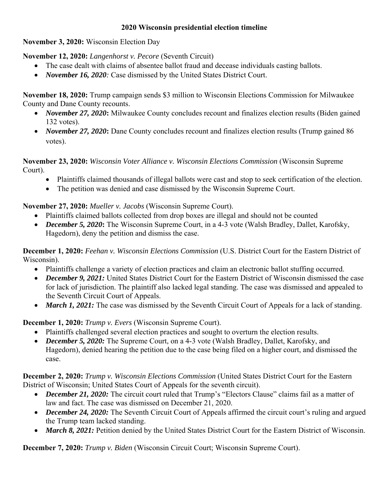## **2020 Wisconsin presidential election timeline**

**November 3, 2020:** Wisconsin Election Day

**November 12, 2020:** *Langenhorst v. Pecore* (Seventh Circuit)

- The case dealt with claims of absentee ballot fraud and decease individuals casting ballots.
- *November 16, 2020:* Case dismissed by the United States District Court.

**November 18, 2020:** Trump campaign sends \$3 million to Wisconsin Elections Commission for Milwaukee County and Dane County recounts.

- *November 27, 2020*: Milwaukee County concludes recount and finalizes election results (Biden gained 132 votes).
- *November 27, 2020*: Dane County concludes recount and finalizes election results (Trump gained 86 votes).

**November 23, 2020:** *Wisconsin Voter Alliance v. Wisconsin Elections Commission* (Wisconsin Supreme Court).

- Plaintiffs claimed thousands of illegal ballots were cast and stop to seek certification of the election.
- The petition was denied and case dismissed by the Wisconsin Supreme Court.

## **November 27, 2020:** *Mueller v. Jacobs* (Wisconsin Supreme Court).

- Plaintiffs claimed ballots collected from drop boxes are illegal and should not be counted
- *December 5, 2020***:** The Wisconsin Supreme Court, in a 4-3 vote (Walsh Bradley, Dallet, Karofsky, Hagedorn), deny the petition and dismiss the case.

**December 1, 2020:** *Feehan v. Wisconsin Elections Commission* (U.S. District Court for the Eastern District of Wisconsin).

- Plaintiffs challenge a variety of election practices and claim an electronic ballot stuffing occurred.
- *December 9, 2021:* United States District Court for the Eastern District of Wisconsin dismissed the case for lack of jurisdiction. The plaintiff also lacked legal standing. The case was dismissed and appealed to the Seventh Circuit Court of Appeals.
- *March 1, 2021:* The case was dismissed by the Seventh Circuit Court of Appeals for a lack of standing.

**December 1, 2020:** *Trump v. Evers* (Wisconsin Supreme Court).

- Plaintiffs challenged several election practices and sought to overturn the election results.
- *December 5, 2020:* The Supreme Court, on a 4-3 vote (Walsh Bradley, Dallet, Karofsky, and Hagedorn), denied hearing the petition due to the case being filed on a higher court, and dismissed the case.

**December 2, 2020:** *Trump v. Wisconsin Elections Commission* (United States District Court for the Eastern District of Wisconsin; United States Court of Appeals for the seventh circuit).

- *December 21, 2020:* The circuit court ruled that Trump's "Electors Clause" claims fail as a matter of law and fact. The case was dismissed on December 21, 2020.
- *December 24, 2020:* The Seventh Circuit Court of Appeals affirmed the circuit court's ruling and argued the Trump team lacked standing.
- *March 8, 2021:* Petition denied by the United States District Court for the Eastern District of Wisconsin.

**December 7, 2020:** *Trump v. Biden* (Wisconsin Circuit Court; Wisconsin Supreme Court).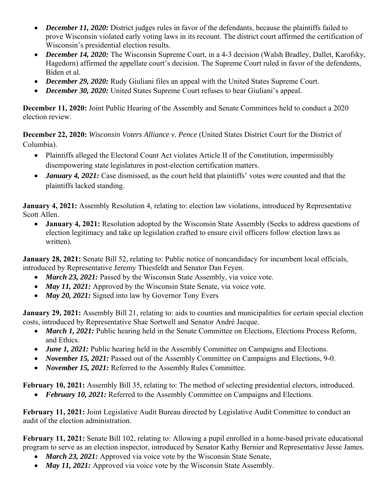- *December 11, 2020:* District judges rules in favor of the defendants, because the plaintiffs failed to prove Wisconsin violated early voting laws in its recount. The district court affirmed the certification of Wisconsin's presidential election results.
- *December 14, 2020:* The Wisconsin Supreme Court, in a 4-3 decision (Walsh Bradley, Dallet, Karofsky, Hagedorn) affirmed the appellate court's decision. The Supreme Court ruled in favor of the defendents, Biden et al.
- *December 29, 2020:* Rudy Giuliani files an appeal with the United States Supreme Court.
- *December 30, 2020:* United States Supreme Court refuses to hear Giuliani's appeal.

**December 11, 2020:** Joint Public Hearing of the Assembly and Senate Committees held to conduct a 2020 election review.

**December 22, 2020:** *Wisconsin Voters Alliance v. Pence* (United States District Court for the District of Columbia).

- Plaintiffs alleged the Electoral Count Act violates Article II of the Constitution, impermissibly disempowering state legislatures in post-election certification matters.
- *January 4, 2021:* Case dismissed, as the court held that plaintiffs' votes were counted and that the plaintiffs lacked standing.

**January 4, 2021:** Assembly Resolution 4, relating to: election law violations, introduced by Representative Scott Allen.

• **January 4, 2021:** Resolution adopted by the Wisconsin State Assembly (Seeks to address questions of election legitimacy and take up legislation crafted to ensure civil officers follow election laws as written).

**January 28, 2021:** Senate Bill 52, relating to: Public notice of noncandidacy for incumbent local officials, introduced by Representative Jeremy Thiesfeldt and Senator Dan Feyen.

- *March 23, 2021:* Passed by the Wisconsin State Assembly, via voice vote.
- *May 11, 2021:* Approved by the Wisconsin State Senate, via voice vote.
- *May 20, 2021:* Signed into law by Governor Tony Evers

**January 29, 2021:** Assembly Bill 21, relating to: aids to counties and municipalities for certain special election costs, introduced by Representative Shae Sortwell and Senator André Jacque.

- *March 1, 2021:* Public hearing held in the Senate Committee on Elections, Elections Process Reform, and Ethics.
- *June 1, 2021:* Public hearing held in the Assembly Committee on Campaigns and Elections.
- *November 15, 2021:* Passed out of the Assembly Committee on Campaigns and Elections, 9-0.
- *November 15, 2021:* Referred to the Assembly Rules Committee.

**February 10, 2021:** Assembly Bill 35, relating to: The method of selecting presidential electors, introduced.

*February 10, 2021:* Referred to the Assembly Committee on Campaigns and Elections.

**February 11, 2021:** Joint Legislative Audit Bureau directed by Legislative Audit Committee to conduct an audit of the election administration.

**February 11, 2021:** Senate Bill 102, relating to: Allowing a pupil enrolled in a home-based private educational program to serve as an election inspector, introduced by Senator Kathy Bernier and Representative Jesse James.

- *March 23, 2021:* Approved via voice vote by the Wisconsin State Senate,
- *May 11, 2021:* Approved via voice vote by the Wisconsin State Assembly.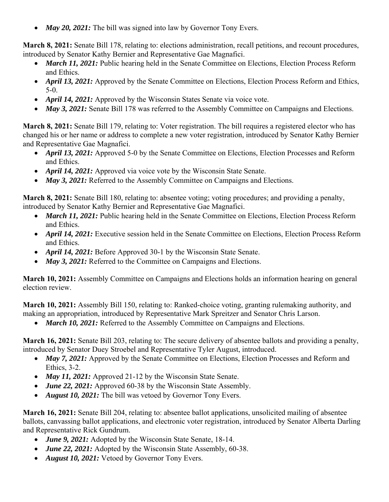• *May 20, 2021:* The bill was signed into law by Governor Tony Evers.

**March 8, 2021:** Senate Bill 178, relating to: elections administration, recall petitions, and recount procedures, introduced by Senator Kathy Bernier and Representative Gae Magnafici.

- *March 11, 2021:* Public hearing held in the Senate Committee on Elections, Election Process Reform and Ethics.
- *April 13, 2021:* Approved by the Senate Committee on Elections, Election Process Reform and Ethics, 5-0.
- *April 14, 2021:* Approved by the Wisconsin States Senate via voice vote.
- *May 3, 2021:* Senate Bill 178 was referred to the Assembly Committee on Campaigns and Elections.

**March 8, 2021:** Senate Bill 179, relating to: Voter registration. The bill requires a registered elector who has changed his or her name or address to complete a new voter registration, introduced by Senator Kathy Bernier and Representative Gae Magnafici.

- *April 13, 2021:* Approved 5-0 by the Senate Committee on Elections, Election Processes and Reform and Ethics.
- *April 14, 2021:* Approved via voice vote by the Wisconsin State Senate.
- *May 3, 2021:* Referred to the Assembly Committee on Campaigns and Elections.

**March 8, 2021:** Senate Bill 180, relating to: absentee voting; voting procedures; and providing a penalty, introduced by Senator Kathy Bernier and Representative Gae Magnafici.

- *March 11, 2021:* Public hearing held in the Senate Committee on Elections, Election Process Reform and Ethics.
- *April 14, 2021:* Executive session held in the Senate Committee on Elections, Election Process Reform and Ethics.
- *April 14, 2021:* Before Approved 30-1 by the Wisconsin State Senate.
- *May 3, 2021:* Referred to the Committee on Campaigns and Elections.

**March 10, 2021:** Assembly Committee on Campaigns and Elections holds an information hearing on general election review.

**March 10, 2021:** Assembly Bill 150, relating to: Ranked-choice voting, granting rulemaking authority, and making an appropriation, introduced by Representative Mark Spreitzer and Senator Chris Larson.

• *March 10, 2021:* Referred to the Assembly Committee on Campaigns and Elections.

**March 16, 2021:** Senate Bill 203, relating to: The secure delivery of absentee ballots and providing a penalty, introduced by Senator Duey Stroebel and Representative Tyler August, introduced.

- *May 7, 2021:* Approved by the Senate Committee on Elections, Election Processes and Reform and Ethics, 3-2.
- *May 11, 2021:* Approved 21-12 by the Wisconsin State Senate.
- *June 22, 2021:* Approved 60-38 by the Wisconsin State Assembly.
- *August 10, 2021:* The bill was vetoed by Governor Tony Evers.

**March 16, 2021:** Senate Bill 204, relating to: absentee ballot applications, unsolicited mailing of absentee ballots, canvassing ballot applications, and electronic voter registration, introduced by Senator Alberta Darling and Representative Rick Gundrum.

- *June 9, 2021:* Adopted by the Wisconsin State Senate, 18-14.
- *June 22, 2021:* Adopted by the Wisconsin State Assembly, 60-38.
- *August 10, 2021:* Vetoed by Governor Tony Evers.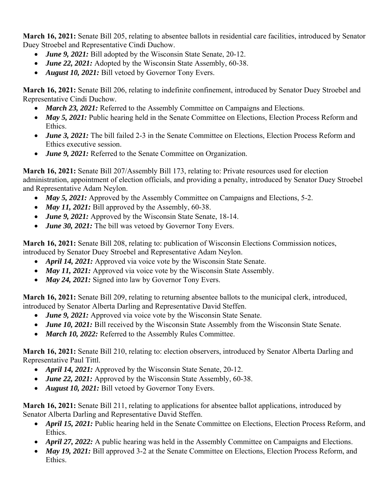**March 16, 2021:** Senate Bill 205, relating to absentee ballots in residential care facilities, introduced by Senator Duey Stroebel and Representative Cindi Duchow.

- *June 9, 2021:* Bill adopted by the Wisconsin State Senate, 20-12.
- *June 22, 2021:* Adopted by the Wisconsin State Assembly, 60-38.
- *August 10, 2021:* Bill vetoed by Governor Tony Evers.

**March 16, 2021:** Senate Bill 206, relating to indefinite confinement, introduced by Senator Duey Stroebel and Representative Cindi Duchow.

- *March 23, 2021:* Referred to the Assembly Committee on Campaigns and Elections.
- *May 5, 2021:* Public hearing held in the Senate Committee on Elections, Election Process Reform and Ethics.
- *June 3, 2021:* The bill failed 2-3 in the Senate Committee on Elections, Election Process Reform and Ethics executive session.
- *June 9, 2021:* Referred to the Senate Committee on Organization.

**March 16, 2021:** Senate Bill 207/Assembly Bill 173, relating to: Private resources used for election administration, appointment of election officials, and providing a penalty, introduced by Senator Duey Stroebel and Representative Adam Neylon.

- *May 5, 2021:* Approved by the Assembly Committee on Campaigns and Elections, 5-2.
- *May 11, 2021:* Bill approved by the Assembly, 60-38.
- *June 9, 2021:* Approved by the Wisconsin State Senate, 18-14.
- *June 30, 2021:* The bill was vetoed by Governor Tony Evers.

**March 16, 2021:** Senate Bill 208, relating to: publication of Wisconsin Elections Commission notices, introduced by Senator Duey Stroebel and Representative Adam Neylon.

- *April 14, 2021:* Approved via voice vote by the Wisconsin State Senate.
- *May 11, 2021:* Approved via voice vote by the Wisconsin State Assembly.
- *May 24, 2021:* Signed into law by Governor Tony Evers.

**March 16, 2021:** Senate Bill 209, relating to returning absentee ballots to the municipal clerk, introduced, introduced by Senator Alberta Darling and Representative David Steffen.

- *June 9, 2021:* Approved via voice vote by the Wisconsin State Senate.
- *June 10, 2021:* Bill received by the Wisconsin State Assembly from the Wisconsin State Senate.
- *March 10, 2022:* Referred to the Assembly Rules Committee.

**March 16, 2021:** Senate Bill 210, relating to: election observers, introduced by Senator Alberta Darling and Representative Paul Tittl.

- *April 14, 2021:* Approved by the Wisconsin State Senate, 20-12.
- *June 22, 2021:* Approved by the Wisconsin State Assembly, 60-38.
- *August 10, 2021:* Bill vetoed by Governor Tony Evers.

**March 16, 2021:** Senate Bill 211, relating to applications for absentee ballot applications, introduced by Senator Alberta Darling and Representative David Steffen.

- *April 15, 2021:* Public hearing held in the Senate Committee on Elections, Election Process Reform, and Ethics.
- *April 27, 2022:* A public hearing was held in the Assembly Committee on Campaigns and Elections.
- *May 19, 2021:* Bill approved 3-2 at the Senate Committee on Elections, Election Process Reform, and Ethics.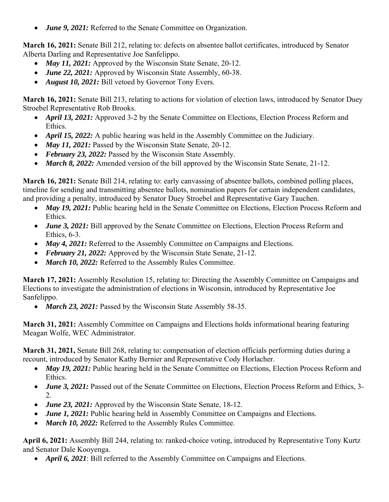*June 9, 2021:* Referred to the Senate Committee on Organization.

**March 16, 2021:** Senate Bill 212, relating to: defects on absentee ballot certificates, introduced by Senator Alberta Darling and Representative Joe Sanfelippo.

- *May 11, 2021:* Approved by the Wisconsin State Senate, 20-12.
- *June 22, 2021:* Approved by Wisconsin State Assembly, 60-38.
- *August 10, 2021:* Bill vetoed by Governor Tony Evers.

**March 16, 2021:** Senate Bill 213, relating to actions for violation of election laws, introduced by Senator Duey Stroebel Representative Rob Brooks.

- *April 13, 2021:* Approved 3-2 by the Senate Committee on Elections, Election Process Reform and Ethics.
- *April 15, 2022:* A public hearing was held in the Assembly Committee on the Judiciary.
- *May 11, 2021: Passed by the Wisconsin State Senate, 20-12.*
- February 23, 2022: Passed by the Wisconsin State Assembly.
- *March 8, 2022:* Amended version of the bill approved by the Wisconsin State Senate, 21-12.

**March 16, 2021:** Senate Bill 214, relating to: early canvassing of absentee ballots, combined polling places, timeline for sending and transmitting absentee ballots, nomination papers for certain independent candidates, and providing a penalty, introduced by Senator Duey Stroebel and Representative Gary Tauchen.

- *May 19, 2021:* Public hearing held in the Senate Committee on Elections, Election Process Reform and Ethics.
- *June 3, 2021:* Bill approved by the Senate Committee on Elections, Election Process Reform and Ethics, 6-3.
- *May 4, 2021:* Referred to the Assembly Committee on Campaigns and Elections.
- *February 21, 2022:* Approved by the Wisconsin State Senate, 21-12.
- *March 10, 2022:* Referred to the Assembly Rules Committee.

**March 17, 2021:** Assembly Resolution 15, relating to: Directing the Assembly Committee on Campaigns and Elections to investigate the administration of elections in Wisconsin, introduced by Representative Joe Sanfelippo.

*March 23, 2021: Passed by the Wisconsin State Assembly 58-35.* 

**March 31, 2021:** Assembly Committee on Campaigns and Elections holds informational hearing featuring Meagan Wolfe, WEC Administrator.

**March 31, 2021,** Senate Bill 268, relating to: compensation of election officials performing duties during a recount, introduced by Senator Kathy Bernier and Representative Cody Horlacher.

- *May 19, 2021:* Public hearing held in the Senate Committee on Elections, Election Process Reform and Ethics.
- *June 3, 2021:* Passed out of the Senate Committee on Elections, Election Process Reform and Ethics, 3-2.
- *June 23, 2021:* Approved by the Wisconsin State Senate, 18-12.
- *June 1, 2021:* Public hearing held in Assembly Committee on Campaigns and Elections.
- *March 10, 2022:* Referred to the Assembly Rules Committee.

**April 6, 2021:** Assembly Bill 244, relating to: ranked-choice voting, introduced by Representative Tony Kurtz and Senator Dale Kooyenga.

*April 6, 2021*: Bill referred to the Assembly Committee on Campaigns and Elections.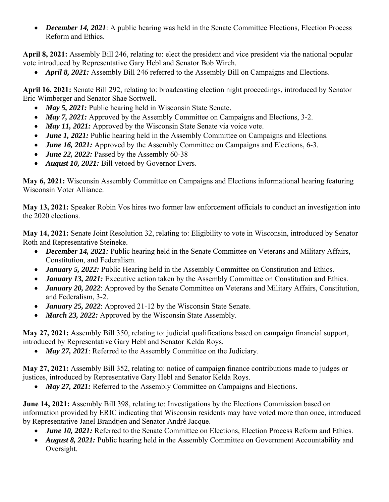*December 14, 2021*: A public hearing was held in the Senate Committee Elections, Election Process Reform and Ethics.

**April 8, 2021:** Assembly Bill 246, relating to: elect the president and vice president via the national popular vote introduced by Representative Gary Hebl and Senator Bob Wirch.

*April 8, 2021:* Assembly Bill 246 referred to the Assembly Bill on Campaigns and Elections.

**April 16, 2021:** Senate Bill 292, relating to: broadcasting election night proceedings, introduced by Senator Eric Wimberger and Senator Shae Sortwell.

- *May 5, 2021:* Public hearing held in Wisconsin State Senate.
- *May 7, 2021:* Approved by the Assembly Committee on Campaigns and Elections, 3-2.
- *May 11, 2021:* Approved by the Wisconsin State Senate via voice vote.
- *June 1, 2021:* Public hearing held in the Assembly Committee on Campaigns and Elections.
- *June 16, 2021:* Approved by the Assembly Committee on Campaigns and Elections, 6-3.
- *June 22, 2022:* Passed by the Assembly 60-38
- *August 10, 2021:* Bill vetoed by Governor Evers.

**May 6, 2021:** Wisconsin Assembly Committee on Campaigns and Elections informational hearing featuring Wisconsin Voter Alliance.

**May 13, 2021:** Speaker Robin Vos hires two former law enforcement officials to conduct an investigation into the 2020 elections.

**May 14, 2021:** Senate Joint Resolution 32, relating to: Eligibility to vote in Wisconsin, introduced by Senator Roth and Representative Steineke.

- *December 14, 2021:* Public hearing held in the Senate Committee on Veterans and Military Affairs, Constitution, and Federalism.
- *January 5, 2022:* Public Hearing held in the Assembly Committee on Constitution and Ethics.
- *January 13, 2021:* Executive action taken by the Assembly Committee on Constitution and Ethics.
- *January 20, 2022*: Approved by the Senate Committee on Veterans and Military Affairs, Constitution, and Federalism, 3-2.
- *January 25, 2022*: Approved 21-12 by the Wisconsin State Senate.
- *March 23, 2022:* Approved by the Wisconsin State Assembly.

**May 27, 2021:** Assembly Bill 350, relating to: judicial qualifications based on campaign financial support, introduced by Representative Gary Hebl and Senator Kelda Roys.

• *May 27, 2021*: Referred to the Assembly Committee on the Judiciary.

**May 27, 2021:** Assembly Bill 352, relating to: notice of campaign finance contributions made to judges or justices, introduced by Representative Gary Hebl and Senator Kelda Roys.

• *May 27, 2021:* Referred to the Assembly Committee on Campaigns and Elections.

**June 14, 2021:** Assembly Bill 398, relating to: Investigations by the Elections Commission based on information provided by ERIC indicating that Wisconsin residents may have voted more than once, introduced by Representative Janel Brandtjen and Senator André Jacque.

- *June 10, 2021:* Referred to the Senate Committee on Elections, Election Process Reform and Ethics.
- *August 8, 2021:* Public hearing held in the Assembly Committee on Government Accountability and Oversight.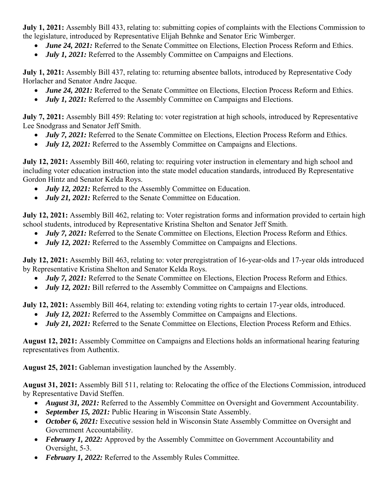**July 1, 2021:** Assembly Bill 433, relating to: submitting copies of complaints with the Elections Commission to the legislature, introduced by Representative Elijah Behnke and Senator Eric Wimberger.

- *June 24, 2021:* Referred to the Senate Committee on Elections, Election Process Reform and Ethics.
- *July 1, 2021:* Referred to the Assembly Committee on Campaigns and Elections.

**July 1, 2021:** Assembly Bill 437, relating to: returning absentee ballots, introduced by Representative Cody Horlacher and Senator Andre Jacque.

- *June 24, 2021:* Referred to the Senate Committee on Elections, Election Process Reform and Ethics.
- *July 1, 2021:* Referred to the Assembly Committee on Campaigns and Elections.

**July 7, 2021:** Assembly Bill 459: Relating to: voter registration at high schools, introduced by Representative Lee Snodgrass and Senator Jeff Smith.

- *July 7, 2021:* Referred to the Senate Committee on Elections, Election Process Reform and Ethics.
- *July 12, 2021:* Referred to the Assembly Committee on Campaigns and Elections.

**July 12, 2021:** Assembly Bill 460, relating to: requiring voter instruction in elementary and high school and including voter education instruction into the state model education standards, introduced By Representative Gordon Hintz and Senator Kelda Roys.

- *July 12, 2021:* Referred to the Assembly Committee on Education.
- *July 21, 2021:* Referred to the Senate Committee on Education.

**July 12, 2021:** Assembly Bill 462, relating to: Voter registration forms and information provided to certain high school students, introduced by Representative Kristina Shelton and Senator Jeff Smith.

- *July 7, 2021:* Referred to the Senate Committee on Elections, Election Process Reform and Ethics.
- *July 12, 2021:* Referred to the Assembly Committee on Campaigns and Elections.

**July 12, 2021:** Assembly Bill 463, relating to: voter preregistration of 16-year-olds and 17-year olds introduced by Representative Kristina Shelton and Senator Kelda Roys.

- *July 7, 2021:* Referred to the Senate Committee on Elections, Election Process Reform and Ethics.
- *July 12, 2021:* Bill referred to the Assembly Committee on Campaigns and Elections.

**July 12, 2021:** Assembly Bill 464, relating to: extending voting rights to certain 17-year olds, introduced.

- *July 12, 2021:* Referred to the Assembly Committee on Campaigns and Elections.
- *July 21, 2021:* Referred to the Senate Committee on Elections, Election Process Reform and Ethics.

**August 12, 2021:** Assembly Committee on Campaigns and Elections holds an informational hearing featuring representatives from Authentix.

**August 25, 2021:** Gableman investigation launched by the Assembly.

**August 31, 2021:** Assembly Bill 511, relating to: Relocating the office of the Elections Commission, introduced by Representative David Steffen.

- *August 31, 2021:* Referred to the Assembly Committee on Oversight and Government Accountability.
- *September 15, 2021:* Public Hearing in Wisconsin State Assembly.
- October 6, 2021: Executive session held in Wisconsin State Assembly Committee on Oversight and Government Accountability.
- *February 1, 2022:* Approved by the Assembly Committee on Government Accountability and Oversight, 5-3.
- February 1, 2022: Referred to the Assembly Rules Committee.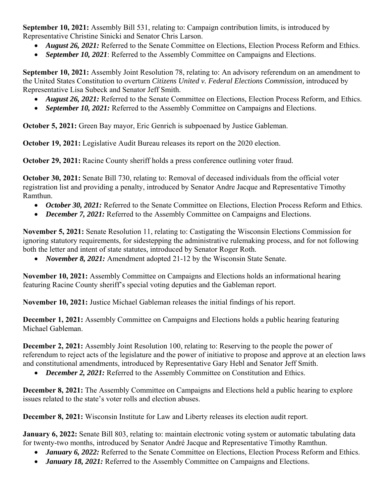**September 10, 2021:** Assembly Bill 531, relating to: Campaign contribution limits, is introduced by Representative Christine Sinicki and Senator Chris Larson.

- *August 26, 2021:* Referred to the Senate Committee on Elections, Election Process Reform and Ethics.
- *September 10, 2021*: Referred to the Assembly Committee on Campaigns and Elections.

**September 10, 2021:** Assembly Joint Resolution 78, relating to: An advisory referendum on an amendment to the United States Constitution to overturn *Citizens United v. Federal Elections Commission,* introduced by Representative Lisa Subeck and Senator Jeff Smith.

- *August 26, 2021:* Referred to the Senate Committee on Elections, Election Process Reform, and Ethics.
- *September 10, 2021:* Referred to the Assembly Committee on Campaigns and Elections.

**October 5, 2021:** Green Bay mayor, Eric Genrich is subpoenaed by Justice Gableman.

**October 19, 2021:** Legislative Audit Bureau releases its report on the 2020 election.

**October 29, 2021:** Racine County sheriff holds a press conference outlining voter fraud.

**October 30, 2021:** Senate Bill 730, relating to: Removal of deceased individuals from the official voter registration list and providing a penalty, introduced by Senator Andre Jacque and Representative Timothy Ramthun.

- *October 30, 2021:* Referred to the Senate Committee on Elections, Election Process Reform and Ethics.
- *December 7, 2021:* Referred to the Assembly Committee on Campaigns and Elections.

**November 5, 2021:** Senate Resolution 11, relating to: Castigating the Wisconsin Elections Commission for ignoring statutory requirements, for sidestepping the administrative rulemaking process, and for not following both the letter and intent of state statutes, introduced by Senator Roger Roth.

*November 8, 2021:* Amendment adopted 21-12 by the Wisconsin State Senate.

**November 10, 2021:** Assembly Committee on Campaigns and Elections holds an informational hearing featuring Racine County sheriff's special voting deputies and the Gableman report.

**November 10, 2021:** Justice Michael Gableman releases the initial findings of his report.

**December 1, 2021:** Assembly Committee on Campaigns and Elections holds a public hearing featuring Michael Gableman.

**December 2, 2021:** Assembly Joint Resolution 100, relating to: Reserving to the people the power of referendum to reject acts of the legislature and the power of initiative to propose and approve at an election laws and constitutional amendments, introduced by Representative Gary Hebl and Senator Jeff Smith.

*December 2, 2021:* Referred to the Assembly Committee on Constitution and Ethics.

**December 8, 2021:** The Assembly Committee on Campaigns and Elections held a public hearing to explore issues related to the state's voter rolls and election abuses.

**December 8, 2021:** Wisconsin Institute for Law and Liberty releases its election audit report.

**January 6, 2022:** Senate Bill 803, relating to: maintain electronic voting system or automatic tabulating data for twenty-two months, introduced by Senator André Jacque and Representative Timothy Ramthun.

- *January 6, 2022:* Referred to the Senate Committee on Elections, Election Process Reform and Ethics.
- *January 18, 2021:* Referred to the Assembly Committee on Campaigns and Elections.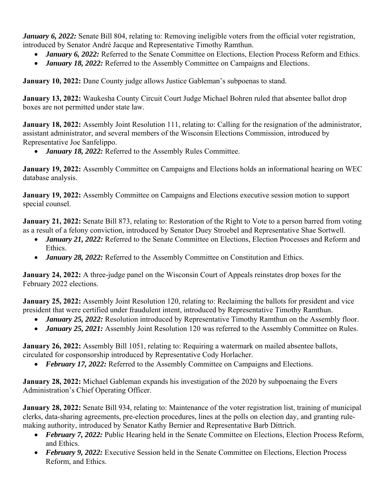*January 6, 2022:* Senate Bill 804, relating to: Removing ineligible voters from the official voter registration, introduced by Senator André Jacque and Representative Timothy Ramthun.

- *January 6, 2022:* Referred to the Senate Committee on Elections, Election Process Reform and Ethics.
- *January 18, 2022:* Referred to the Assembly Committee on Campaigns and Elections.

**January 10, 2022:** Dane County judge allows Justice Gableman's subpoenas to stand.

**January 13, 2022:** Waukesha County Circuit Court Judge Michael Bohren ruled that absentee ballot drop boxes are not permitted under state law.

**January 18, 2022:** Assembly Joint Resolution 111, relating to: Calling for the resignation of the administrator, assistant administrator, and several members of the Wisconsin Elections Commission, introduced by Representative Joe Sanfelippo.

*January 18, 2022:* Referred to the Assembly Rules Committee.

**January 19, 2022:** Assembly Committee on Campaigns and Elections holds an informational hearing on WEC database analysis.

**January 19, 2022:** Assembly Committee on Campaigns and Elections executive session motion to support special counsel.

**January 21, 2022:** Senate Bill 873, relating to: Restoration of the Right to Vote to a person barred from voting as a result of a felony conviction, introduced by Senator Duey Stroebel and Representative Shae Sortwell.

- *January 21, 2022:* Referred to the Senate Committee on Elections, Election Processes and Reform and Ethics.
- *January 28, 2022:* Referred to the Assembly Committee on Constitution and Ethics.

**January 24, 2022:** A three-judge panel on the Wisconsin Court of Appeals reinstates drop boxes for the February 2022 elections.

**January 25, 2022:** Assembly Joint Resolution 120, relating to: Reclaiming the ballots for president and vice president that were certified under fraudulent intent, introduced by Representative Timothy Ramthun.

- *January 25, 2022:* Resolution introduced by Representative Timothy Ramthun on the Assembly floor.
- *January 25, 2021:* Assembly Joint Resolution 120 was referred to the Assembly Committee on Rules.

**January 26, 2022:** Assembly Bill 1051, relating to: Requiring a watermark on mailed absentee ballots, circulated for cosponsorship introduced by Representative Cody Horlacher.

*February 17, 2022:* Referred to the Assembly Committee on Campaigns and Elections.

**January 28, 2022:** Michael Gableman expands his investigation of the 2020 by subpoenaing the Evers Administration's Chief Operating Officer.

**January 28, 2022:** Senate Bill 934, relating to: Maintenance of the voter registration list, training of municipal clerks, data-sharing agreements, pre-election procedures, lines at the polls on election day, and granting rulemaking authority, introduced by Senator Kathy Bernier and Representative Barb Dittrich.

- *February 7, 2022: Public Hearing held in the Senate Committee on Elections, Election Process Reform,* and Ethics.
- February 9, 2022: Executive Session held in the Senate Committee on Elections, Election Process Reform, and Ethics.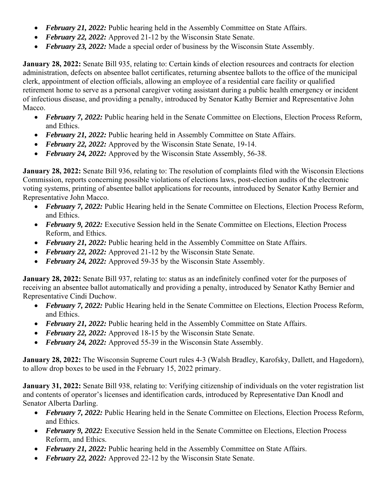- *February 21, 2022:* Public hearing held in the Assembly Committee on State Affairs.
- *February 22, 2022:* Approved 21-12 by the Wisconsin State Senate.
- *February 23, 2022:* Made a special order of business by the Wisconsin State Assembly.

**January 28, 2022:** Senate Bill 935, relating to: Certain kinds of election resources and contracts for election administration, defects on absentee ballot certificates, returning absentee ballots to the office of the municipal clerk, appointment of election officials, allowing an employee of a residential care facility or qualified retirement home to serve as a personal caregiver voting assistant during a public health emergency or incident of infectious disease, and providing a penalty, introduced by Senator Kathy Bernier and Representative John Macco.

- *February 7, 2022:* Public hearing held in the Senate Committee on Elections, Election Process Reform, and Ethics.
- *February 21, 2022:* Public hearing held in Assembly Committee on State Affairs.
- *February 22, 2022:* Approved by the Wisconsin State Senate, 19-14.
- *February 24, 2022:* Approved by the Wisconsin State Assembly, 56-38.

**January 28, 2022:** Senate Bill 936, relating to: The resolution of complaints filed with the Wisconsin Elections Commission, reports concerning possible violations of elections laws, post-election audits of the electronic voting systems, printing of absentee ballot applications for recounts, introduced by Senator Kathy Bernier and Representative John Macco.

- *February 7, 2022:* Public Hearing held in the Senate Committee on Elections, Election Process Reform, and Ethics.
- February 9, 2022: Executive Session held in the Senate Committee on Elections, Election Process Reform, and Ethics.
- *February 21, 2022:* Public hearing held in the Assembly Committee on State Affairs.
- *February 22, 2022:* Approved 21-12 by the Wisconsin State Senate.
- *February 24, 2022:* Approved 59-35 by the Wisconsin State Assembly.

**January 28, 2022:** Senate Bill 937, relating to: status as an indefinitely confined voter for the purposes of receiving an absentee ballot automatically and providing a penalty, introduced by Senator Kathy Bernier and Representative Cindi Duchow.

- *February 7, 2022:* Public Hearing held in the Senate Committee on Elections, Election Process Reform, and Ethics.
- *February 21, 2022:* Public hearing held in the Assembly Committee on State Affairs.
- *February 22, 2022:* Approved 18-15 by the Wisconsin State Senate.
- *February 24, 2022:* Approved 55-39 in the Wisconsin State Assembly.

**January 28, 2022:** The Wisconsin Supreme Court rules 4-3 (Walsh Bradley, Karofsky, Dallett, and Hagedorn), to allow drop boxes to be used in the February 15, 2022 primary.

**January 31, 2022:** Senate Bill 938, relating to: Verifying citizenship of individuals on the voter registration list and contents of operator's licenses and identification cards, introduced by Representative Dan Knodl and Senator Alberta Darling.

- *February 7, 2022:* Public Hearing held in the Senate Committee on Elections, Election Process Reform, and Ethics.
- February 9, 2022: Executive Session held in the Senate Committee on Elections, Election Process Reform, and Ethics.
- *February 21, 2022:* Public hearing held in the Assembly Committee on State Affairs.
- *February 22, 2022:* Approved 22-12 by the Wisconsin State Senate.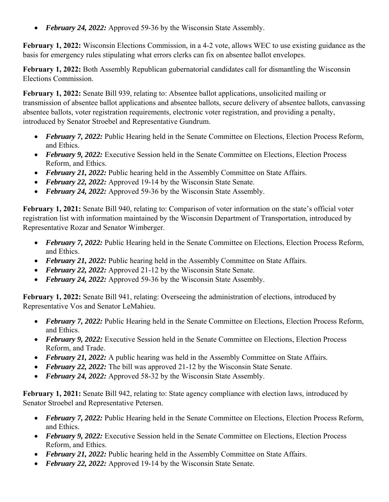• February 24, 2022: Approved 59-36 by the Wisconsin State Assembly.

**February 1, 2022:** Wisconsin Elections Commission, in a 4-2 vote, allows WEC to use existing guidance as the basis for emergency rules stipulating what errors clerks can fix on absentee ballot envelopes.

**February 1, 2022:** Both Assembly Republican gubernatorial candidates call for dismantling the Wisconsin Elections Commission.

**February 1, 2022:** Senate Bill 939, relating to: Absentee ballot applications, unsolicited mailing or transmission of absentee ballot applications and absentee ballots, secure delivery of absentee ballots, canvassing absentee ballots, voter registration requirements, electronic voter registration, and providing a penalty, introduced by Senator Stroebel and Representative Gundrum.

- *February 7, 2022: Public Hearing held in the Senate Committee on Elections, Election Process Reform,* and Ethics.
- February 9, 2022: Executive Session held in the Senate Committee on Elections, Election Process Reform, and Ethics.
- *February 21, 2022:* Public hearing held in the Assembly Committee on State Affairs.
- *February 22, 2022:* Approved 19-14 by the Wisconsin State Senate.
- February 24, 2022: Approved 59-36 by the Wisconsin State Assembly.

**February 1, 2021:** Senate Bill 940, relating to: Comparison of voter information on the state's official voter registration list with information maintained by the Wisconsin Department of Transportation, introduced by Representative Rozar and Senator Wimberger.

- *February 7, 2022:* Public Hearing held in the Senate Committee on Elections, Election Process Reform, and Ethics.
- *February 21, 2022:* Public hearing held in the Assembly Committee on State Affairs.
- *February 22, 2022:* Approved 21-12 by the Wisconsin State Senate.
- February 24, 2022: Approved 59-36 by the Wisconsin State Assembly.

**February 1, 2022:** Senate Bill 941, relating: Overseeing the administration of elections, introduced by Representative Vos and Senator LeMahieu.

- *February 7, 2022: Public Hearing held in the Senate Committee on Elections, Election Process Reform,* and Ethics.
- *February 9, 2022: Executive Session held in the Senate Committee on Elections, Election Process* Reform, and Trade.
- *February 21, 2022:* A public hearing was held in the Assembly Committee on State Affairs.
- *February 22, 2022:* The bill was approved 21-12 by the Wisconsin State Senate.
- February 24, 2022: Approved 58-32 by the Wisconsin State Assembly.

**February 1, 2021:** Senate Bill 942, relating to: State agency compliance with election laws, introduced by Senator Stroebel and Representative Petersen.

- *February 7, 2022:* Public Hearing held in the Senate Committee on Elections, Election Process Reform, and Ethics.
- *February 9, 2022:* Executive Session held in the Senate Committee on Elections, Election Process Reform, and Ethics.
- *February 21, 2022:* Public hearing held in the Assembly Committee on State Affairs.
- *February 22, 2022:* Approved 19-14 by the Wisconsin State Senate.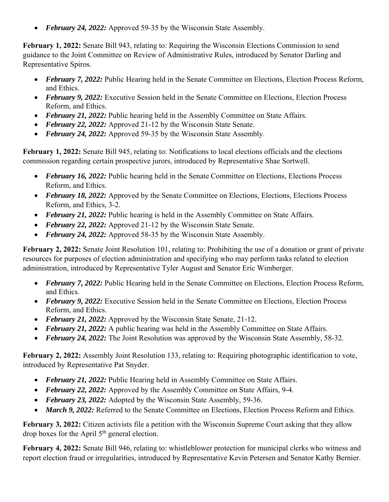• February 24, 2022: Approved 59-35 by the Wisconsin State Assembly.

**February 1, 2022:** Senate Bill 943, relating to: Requiring the Wisconsin Elections Commission to send guidance to the Joint Committee on Review of Administrative Rules, introduced by Senator Darling and Representative Spiros.

- *February 7, 2022:* Public Hearing held in the Senate Committee on Elections, Election Process Reform, and Ethics.
- *February 9, 2022: Executive Session held in the Senate Committee on Elections, Election Process* Reform, and Ethics.
- *February 21, 2022:* Public hearing held in the Assembly Committee on State Affairs.
- *February 22, 2022:* Approved 21-12 by the Wisconsin State Senate.
- February 24, 2022: Approved 59-35 by the Wisconsin State Assembly.

**February 1, 2022:** Senate Bill 945, relating to: Notifications to local elections officials and the elections commission regarding certain prospective jurors, introduced by Representative Shae Sortwell.

- *February 16, 2022:* Public hearing held in the Senate Committee on Elections, Elections Process Reform, and Ethics.
- *February 18, 2022:* Approved by the Senate Committee on Elections, Elections, Elections Process Reform, and Ethics, 3-2.
- February 21, 2022: Public hearing is held in the Assembly Committee on State Affairs.
- *February 22, 2022:* Approved 21-12 by the Wisconsin State Senate.
- February 24, 2022: Approved 58-35 by the Wisconsin State Assembly.

**February 2, 2022:** Senate Joint Resolution 101, relating to: Prohibiting the use of a donation or grant of private resources for purposes of election administration and specifying who may perform tasks related to election administration, introduced by Representative Tyler August and Senator Eric Wimberger.

- *February 7, 2022:* Public Hearing held in the Senate Committee on Elections, Election Process Reform, and Ethics.
- *February 9, 2022: Executive Session held in the Senate Committee on Elections, Election Process* Reform, and Ethics.
- *February 21, 2022:* Approved by the Wisconsin State Senate, 21-12.
- *February 21, 2022:* A public hearing was held in the Assembly Committee on State Affairs.
- *February 24, 2022:* The Joint Resolution was approved by the Wisconsin State Assembly, 58-32.

**February 2, 2022:** Assembly Joint Resolution 133, relating to: Requiring photographic identification to vote, introduced by Representative Pat Snyder.

- *February 21, 2022:* Public Hearing held in Assembly Committee on State Affairs.
- *February 22, 2022:* Approved by the Assembly Committee on State Affairs, 9-4.
- *February 23, 2022:* Adopted by the Wisconsin State Assembly, 59-36.
- *March 9, 2022:* Referred to the Senate Committee on Elections, Election Process Reform and Ethics.

**February 3, 2022:** Citizen activists file a petition with the Wisconsin Supreme Court asking that they allow drop boxes for the April  $5<sup>th</sup>$  general election.

**February 4, 2022:** Senate Bill 946, relating to: whistleblower protection for municipal clerks who witness and report election fraud or irregularities, introduced by Representative Kevin Petersen and Senator Kathy Bernier.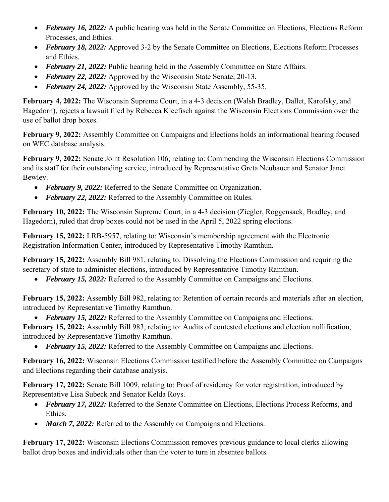- *February 16, 2022:* A public hearing was held in the Senate Committee on Elections, Elections Reform Processes, and Ethics.
- *February 18, 2022:* Approved 3-2 by the Senate Committee on Elections, Elections Reform Processes and Ethics.
- *February 21, 2022:* Public hearing held in the Assembly Committee on State Affairs.
- *February 22, 2022:* Approved by the Wisconsin State Senate, 20-13.
- *February 24, 2022:* Approved by the Wisconsin State Assembly, 55-35.

**February 4, 2022:** The Wisconsin Supreme Court, in a 4-3 decision (Walsh Bradley, Dallet, Karofsky, and Hagedorn), rejects a lawsuit filed by Rebecca Kleefisch against the Wisconsin Elections Commission over the use of ballot drop boxes.

**February 9, 2022:** Assembly Committee on Campaigns and Elections holds an informational hearing focused on WEC database analysis.

**February 9, 2022:** Senate Joint Resolution 106, relating to: Commending the Wisconsin Elections Commission and its staff for their outstanding service, introduced by Representative Greta Neubauer and Senator Janet Bewley.

- *February 9, 2022:* Referred to the Senate Committee on Organization.
- February 22, 2022: Referred to the Assembly Committee on Rules.

**February 10, 2022:** The Wisconsin Supreme Court, in a 4-3 decision (Ziegler, Roggensack, Bradley, and Hagedorn), ruled that drop boxes could not be used in the April 5, 2022 spring elections.

**February 15, 2022:** LRB-5957, relating to: Wisconsin's membership agreement with the Electronic Registration Information Center, introduced by Representative Timothy Ramthun.

**February 15, 2022:** Assembly Bill 981, relating to: Dissolving the Elections Commission and requiring the secretary of state to administer elections, introduced by Representative Timothy Ramthun.

*February 15, 2022:* Referred to the Assembly Committee on Campaigns and Elections.

**February 15, 2022:** Assembly Bill 982, relating to: Retention of certain records and materials after an election, introduced by Representative Timothy Ramthun.

*February 15, 2022:* Referred to the Assembly Committee on Campaigns and Elections.

**February 15, 2022:** Assembly Bill 983, relating to: Audits of contested elections and election nullification, introduced by Representative Timothy Ramthun.

*February 15, 2022:* Referred to the Assembly Committee on Campaigns and Elections.

**February 16, 2022:** Wisconsin Elections Commission testified before the Assembly Committee on Campaigns and Elections regarding their database analysis.

**February 17, 2022:** Senate Bill 1009, relating to: Proof of residency for voter registration, introduced by Representative Lisa Subeck and Senator Kelda Roys.

- *February 17, 2022:* Referred to the Senate Committee on Elections, Elections Process Reforms, and Ethics.
- *March 7, 2022:* Referred to the Assembly on Campaigns and Elections.

**February 17, 2022:** Wisconsin Elections Commission removes previous guidance to local clerks allowing ballot drop boxes and individuals other than the voter to turn in absentee ballots.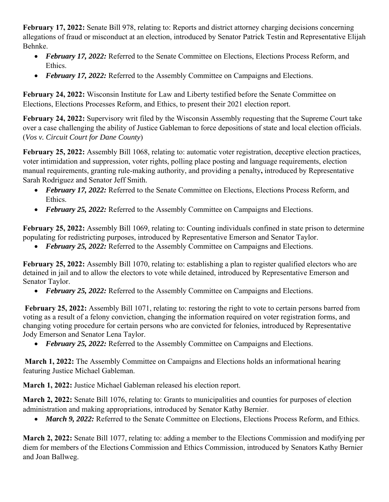**February 17, 2022:** Senate Bill 978, relating to: Reports and district attorney charging decisions concerning allegations of fraud or misconduct at an election, introduced by Senator Patrick Testin and Representative Elijah Behnke.

- *February 17, 2022:* Referred to the Senate Committee on Elections, Elections Process Reform, and Ethics.
- *February 17, 2022:* Referred to the Assembly Committee on Campaigns and Elections.

**February 24, 2022:** Wisconsin Institute for Law and Liberty testified before the Senate Committee on Elections, Elections Processes Reform, and Ethics, to present their 2021 election report.

**February 24, 2022:** Supervisory writ filed by the Wisconsin Assembly requesting that the Supreme Court take over a case challenging the ability of Justice Gableman to force depositions of state and local election officials. (*Vos v. Circuit Court for Dane County*)

**February 25, 2022:** Assembly Bill 1068, relating to: automatic voter registration, deceptive election practices, voter intimidation and suppression, voter rights, polling place posting and language requirements, election manual requirements, granting rule-making authority, and providing a penalty**,** introduced by Representative Sarah Rodriguez and Senator Jeff Smith.

- *February 17, 2022:* Referred to the Senate Committee on Elections, Elections Process Reform, and Ethics.
- *February 25, 2022:* Referred to the Assembly Committee on Campaigns and Elections.

**February 25, 2022:** Assembly Bill 1069, relating to: Counting individuals confined in state prison to determine populating for redistricting purposes, introduced by Representative Emerson and Senator Taylor.

• *February 25, 2022:* Referred to the Assembly Committee on Campaigns and Elections.

**February 25, 2022:** Assembly Bill 1070, relating to: establishing a plan to register qualified electors who are detained in jail and to allow the electors to vote while detained, introduced by Representative Emerson and Senator Taylor.

*February 25, 2022:* Referred to the Assembly Committee on Campaigns and Elections.

 **February 25, 2022:** Assembly Bill 1071, relating to: restoring the right to vote to certain persons barred from voting as a result of a felony conviction, changing the information required on voter registration forms, and changing voting procedure for certain persons who are convicted for felonies, introduced by Representative Jody Emerson and Senator Lena Taylor.

• *February 25, 2022:* Referred to the Assembly Committee on Campaigns and Elections.

 **March 1, 2022:** The Assembly Committee on Campaigns and Elections holds an informational hearing featuring Justice Michael Gableman.

**March 1, 2022:** Justice Michael Gableman released his election report.

**March 2, 2022:** Senate Bill 1076, relating to: Grants to municipalities and counties for purposes of election administration and making appropriations, introduced by Senator Kathy Bernier.

• *March 9, 2022:* Referred to the Senate Committee on Elections, Elections Process Reform, and Ethics.

**March 2, 2022:** Senate Bill 1077, relating to: adding a member to the Elections Commission and modifying per diem for members of the Elections Commission and Ethics Commission, introduced by Senators Kathy Bernier and Joan Ballweg.